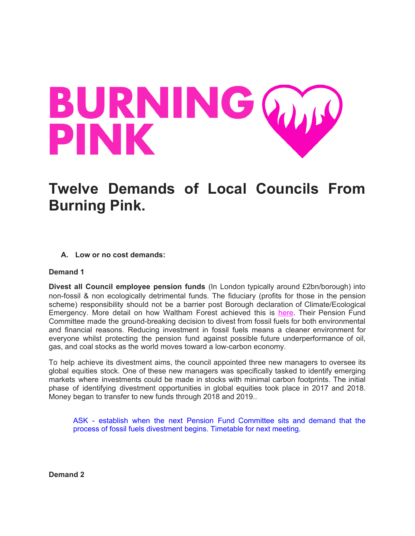# BURNING WA

# **Twelve Demands of Local Councils From Burning Pink.**

**A. Low or no cost demands:**

# **Demand 1**

**Divest all Council employee pension funds** (In London typically around £2bn/borough) into non-fossil & non ecologically detrimental funds. The fiduciary (profits for those in the pension scheme) responsibility should not be a barrier post Borough declaration of Climate/Ecological Emergency. More detail on how Waltham Forest achieved this is [here.](https://www.walthamforest.gov.uk/content/council%E2%80%99s-decision-divest-fossil-fuels-helps-tackle-climate-emergency-and-create-better) Their Pension Fund Committee made the ground-breaking decision to divest from fossil fuels for both environmental and financial reasons. Reducing investment in fossil fuels means a cleaner environment for everyone whilst protecting the pension fund against possible future underperformance of oil, gas, and coal stocks as the world moves toward a low-carbon economy.

To help achieve its divestment aims, the council appointed three new managers to oversee its global equities stock. One of these new managers was specifically tasked to identify emerging markets where investments could be made in stocks with minimal carbon footprints. The initial phase of identifying divestment opportunities in global equities took place in 2017 and 2018. Money began to transfer to new funds through 2018 and 2019..

ASK - establish when the next Pension Fund Committee sits and demand that the process of fossil fuels divestment begins. Timetable for next meeting.

**Demand 2**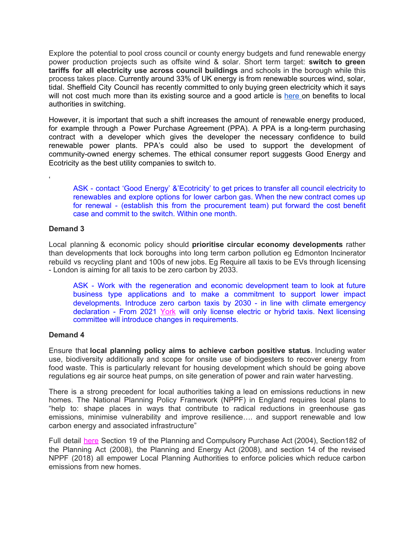Explore the potential to pool cross council or county energy budgets and fund renewable energy power production projects such as offsite wind & solar. Short term target: **switch to green tariffs for all electricity use across council buildings** and schools in the borough while this process takes place. Currently around 33% of UK energy is from renewable sources wind, solar, tidal. Sheffield City Council has recently committed to only buying green electricity which it says will not cost much more than its existing source and a good article is [here](https://www.energylivenews.com/2018/04/23/councils-are-slacking-on-switching-to-clean-energy-tariffs/) on benefits to local authorities in switching.

However, it is important that such a shift increases the amount of renewable energy produced, for example through a Power Purchase Agreement (PPA). A PPA is a long-term purchasing contract with a developer which gives the developer the necessary confidence to build renewable power plants. PPA's could also be used to support the development of community-owned energy schemes. The ethical consumer report suggests Good Energy and Ecotricity as the best utility companies to switch to.

ASK - contact 'Good Energy' &'Ecotricity' to get prices to transfer all council electricity to renewables and explore options for lower carbon gas. When the new contract comes up for renewal - (establish this from the procurement team) put forward the cost benefit case and commit to the switch. Within one month.

# **Demand 3**

'

Local planning & economic policy should **prioritise circular economy developments** rather than developments that lock boroughs into long term carbon pollution eg Edmonton Incinerator rebuild vs recycling plant and 100s of new jobs. Eg Require all taxis to be EVs through licensing - London is aiming for all taxis to be zero carbon by 2033.

ASK - Work with the regeneration and economic development team to look at future business type applications and to make a commitment to support lower impact developments. Introduce zero carbon taxis by 2030 - in line with climate emergency declaration - From 2021 [York](https://www.yorkmix.com/plan-to-turn-yorks-taxi-fleet-green-with-only-electric-or-hybrid-vehicles-allowed/) [w](https://www.yorkmix.com/plan-to-turn-yorks-taxi-fleet-green-with-only-electric-or-hybrid-vehicles-allowed/)ill only license electric or hybrid taxis. Next licensing committee will introduce changes in requirements.

# **Demand 4**

Ensure that **local planning policy aims to achieve carbon positive status**. Including water use, biodiversity additionally and scope for onsite use of biodigesters to recover energy from food waste. This is particularly relevant for housing development which should be going above regulations eg air source heat pumps, on site generation of power and rain water harvesting.

There is a strong precedent for local authorities taking a lead on emissions reductions in new homes. The National Planning Policy Framework (NPPF) in England requires local plans to "help to: shape places in ways that contribute to radical reductions in greenhouse gas emissions, minimise vulnerability and improve resilience…. and support renewable and low carbon energy and associated infrastructure"

Full detail [here](https://www.gov.uk/government/publications/national-planning-policy-framework--2) Section 19 of the Planning and Compulsory Purchase Act (2004), Section182 of the Planning Act (2008), the Planning and Energy Act (2008), and section 14 of the revised NPPF (2018) all empower Local Planning Authorities to enforce policies which reduce carbon emissions from new homes.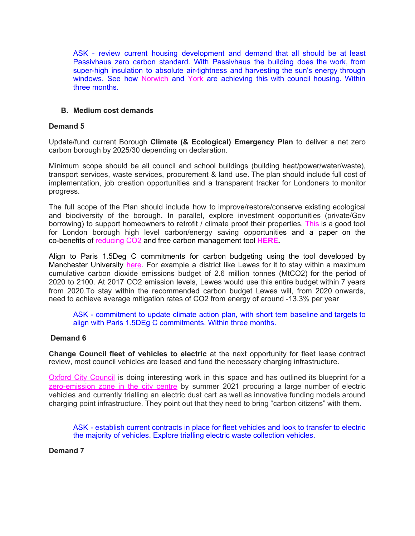ASK - review current housing development and demand that all should be at least Passivhaus zero carbon standard. With Passivhaus the building does the work, from super-high insulation to absolute air-tightness and harvesting the sun's energy through windows. See how [Norwich](https://www.theguardian.com/artanddesign/2019/jul/16/norwich-goldsmith-street-social-housing-green-design) and [York](https://www.theguardian.com/artanddesign/2020/oct/04/everest-zero-carbon-inside-yorks-green-home-revolution) are achieving this with council housing. Within three months.

### **B. Medium cost demands**

#### **Demand 5**

Update/fund current Borough **Climate (& Ecological) Emergency Plan** to deliver a net zero carbon borough by 2025/30 depending on declaration.

Minimum scope should be all council and school buildings (building heat/power/water/waste), transport services, waste services, procurement & land use. The plan should include full cost of implementation, job creation opportunities and a transparent tracker for Londoners to monitor progress.

The full scope of the Plan should include how to improve/restore/conserve existing ecological and biodiversity of the borough. In parallel, explore investment opportunities (private/Gov borrowing) to support homeowners to retrofit / climate proof their properties. [This](http://candocities.org/energy-and-carbon/haringey) is a good tool for London borough high level carbon/energy saving opportunities and a paper on the co-benefits of [reducing](https://www.imperial.ac.uk/media/imperial-college/grantham-institute/public/publications/briefing-papers/Co-benefits-of-climate-change-mitigation-in-the-UK.pdf) CO2 and free carbon management tool **[HERE](https://scattercities.com/).**

Align to Paris 1.5Deg C commitments for carbon budgeting using the tool developed by Manchester University [here](https://carbonbudget.manchester.ac.uk/reports/combined/). For example a district like Lewes for it to stay within a maximum cumulative carbon dioxide emissions budget of 2.6 million tonnes (MtCO2) for the period of 2020 to 2100. At 2017 CO2 emission levels, Lewes would use this entire budget within 7 years from 2020.To stay within the recommended carbon budget Lewes will, from 2020 onwards, need to achieve average mitigation rates of CO2 from energy of around -13.3% per year

ASK - commitment to update climate action plan, with short tem baseline and targets to align with Paris 1.5DEg C commitments. Within three months.

#### **Demand 6**

**Change Council fleet of vehicles to electric** at the next opportunity for fleet lease contract review, most council vehicles are leased and fund the necessary charging infrastructure.

Oxford City [Council](https://www.fleetnews.co.uk/fleet-management/case-studies/home/oxford-outlines-its-plan-to-be-uk-s-first-zero-emission-city) is doing interesting work in this space and has outlined its blueprint for a [zero-emission](https://www.fleetnews.co.uk/news/environment/2020/01/08/oxford-outlines-zero-emission-zone-plans) zone in the city centre by summer 2021 procuring a large number of electric vehicles and currently trialling an electric dust cart as well as innovative funding models around charging point infrastructure. They point out that they need to bring "carbon citizens" with them.

ASK - establish current contracts in place for fleet vehicles and look to transfer to electric the majority of vehicles. Explore trialling electric waste collection vehicles.

**Demand 7**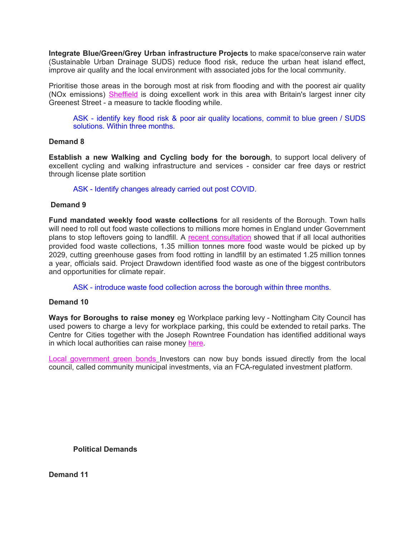**Integrate Blue/Green/Grey Urban infrastructure Projects** to make space/conserve rain water (Sustainable Urban Drainage SUDS) reduce flood risk, reduce the urban heat island effect, improve air quality and the local environment with associated jobs for the local community.

Prioritise those areas in the borough most at risk from flooding and with the poorest air quality (NOx emissions) [Sheffield](https://www.nigeldunnett.com/grey-to-green-2/) is doing excellent work in this area with Britain's largest inner city Greenest Street - a measure to tackle flooding while.

ASK - identify key flood risk & poor air quality locations, commit to blue green / SUDS solutions. Within three months.

#### **Demand 8**

**Establish a new Walking and Cycling body for the borough**, to support local delivery of excellent cycling and walking infrastructure and services - consider car free days or restrict through license plate sortition

ASK - Identify changes already carried out post COVID.

# **Demand 9**

**Fund mandated weekly food waste collections** for all residents of the Borough. Town halls will need to roll out food waste collections to millions more homes in England under Government plans to stop leftovers going to landfill. A recent [consultation](https://www.lep.co.uk/news/environment/food-waste-collections-could-be-coming-millions-more-homes-1400877) showed that if all local authorities provided food waste collections, 1.35 million tonnes more food waste would be picked up by 2029, cutting greenhouse gases from food rotting in landfill by an estimated 1.25 million tonnes a year, officials said. Project Drawdown identified food waste as one of the biggest contributors and opportunities for climate repair.

ASK - introduce waste food collection across the borough within three months.

#### **Demand 10**

**Ways for Boroughs to raise money** eg Workplace parking levy - Nottingham City Council has used powers to charge a levy for workplace parking, this could be extended to retail parks. The Centre for Cities together with the Joseph Rowntree Foundation has identified additional ways in which local authorities can raise money [here.](https://www.centreforcities.org/publication/funding-and-financing-inclusive-growth-in-cities/)

Local [government](https://www.thisismoney.co.uk/money/investing/article-8706735/What-local-authority-green-bonds.html) green bonds Investors can now buy bonds issued directly from the local council, called community munic[ip](https://www.thisismoney.co.uk/money/investing/article-8706735/What-local-authority-green-bonds.html)al investments, via an FCA-regulated investment platform.

**Political Demands**

**Demand 11**